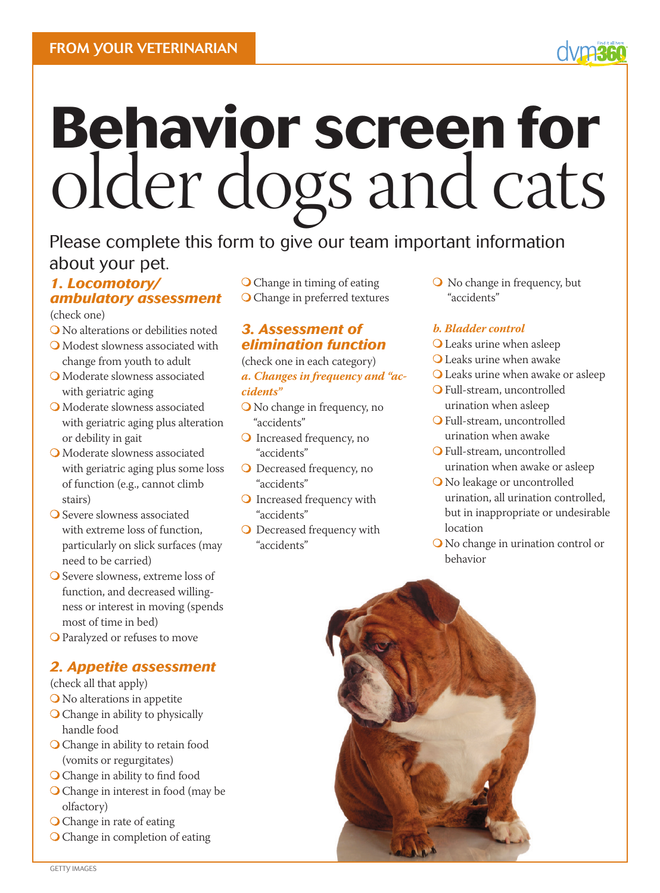# **Behavior screen for** older dogs and cats

# Please complete this form to give our team important information about your pet.

### *1. Locomotory/ ambulatory assessment*

(check one)

- No alterations or debilities noted Modest slowness associated with
- change from youth to adult
- Moderate slowness associated with geriatric aging
- Moderate slowness associated with geriatric aging plus alteration or debility in gait
- Moderate slowness associated with geriatric aging plus some loss of function (e.g., cannot climb stairs)
- O Severe slowness associated with extreme loss of function, particularly on slick surfaces (may need to be carried)
- O Severe slowness, extreme loss of function, and decreased willingness or interest in moving (spends most of time in bed)
- Paralyzed or refuses to move

# *2. Appetite assessment*

- (check all that apply)
- No alterations in appetite
- O Change in ability to physically handle food
- Change in ability to retain food (vomits or regurgitates)
- O Change in ability to find food
- Change in interest in food (may be olfactory)
- O Change in rate of eating
- Change in completion of eating

 Change in timing of eating O Change in preferred textures

#### *3. Assessment of elimination function*

(check one in each category) *a. Changes in frequency and "accidents"* 

- No change in frequency, no "accidents"
- O Increased frequency, no "accidents"
- O Decreased frequency, no "accidents"
- O Increased frequency with "accidents"
- O Decreased frequency with "accidents"

 $\bigcirc$  No change in frequency, but "accidents"

#### *b. Bladder control*

- Leaks urine when asleep
- Leaks urine when awake
- Leaks urine when awake or asleep
- Full-stream, uncontrolled urination when asleep
- Full-stream, uncontrolled urination when awake
- Full-stream, uncontrolled urination when awake or asleep
- O No leakage or uncontrolled urination, all urination controlled, but in inappropriate or undesirable location
- No change in urination control or behavior